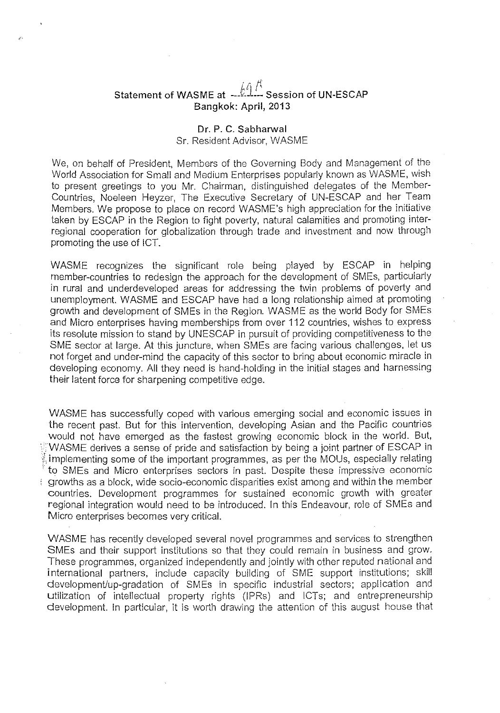# Statement of WASME at  $-\hat{\mathbb{M}}$   $\overset{\text{f}}{\leftarrow}$  Session of UN-ESCAP Bangkok: April, 2013

## Dr. P. C. Sabharwal

### Sr. Resident Advisor, WASME

We, on behalf of President, Members of the Governing Body and Management of the World Association for Small and Medium Enterprises popularly known as WASME, wish to present greetings to you Mr. Chairman, distinguished delegates of the Member· Countries, Noeleen Heyzer, The Executive Secretary of UN·ESCAP and her Team Members. We propose to place on record WASME's high appreciation for the initiative taken by ESCAP in the Region to fight poverty, natural calamities and promoting inter· regional cooperation for globalization through trade and investment and now through promoting the use of ICT.

WASME recognizes the significant role being played by ESCAP in helping member·countries to redesign the approach for the development of SMEs, particularly in rural and underdeveloped areas for addressing the twin problems of poverty and unemployment. WASME and ESCAP have had a long relationship aimed at promoting growth and development of SMEs in the Region. WASME as the world Body for SMEs and Micro enterprises having memberships from over 112 countries, wishes to express its resolute mission to stand by UNESCAP in pursuit of providing competitiveness to the SME sector at large. At this juncture, when SMEs are facing various challenges, let us not forget and under·mind the capacity of this sector to bring about economic miracle in developing economy. All they need is hand·holding in the initial stages and harnessing their latent force for sharpening competitive edge.

WASME has successfully coped with various emerging social and economic issues in the recent past. But for this intervention, developing Asian and the Pacific countries would not have emerged as the fastest growing economic block in the world. But, WASME derives a sense of pride and satisfaction by being a joint partner of ESCAP in  $\frac{1}{2}$  implementing some of the important programmes, as per the MOUs, especially relating to SMEs and Micro enterprises sectors in past. Despite these impressive economic growths as a block, wide socio-economic disparities exist among and within the member countries. Development programmes for sustained economic growth with greater regional integration would need to be introduced. In this Endeavour, role of SMEs and Micro enterprises becomes very critical.

WASME has recently developed several novel programmes and services to strengthen SMEs and their support institutions so that they could remain in business and grow. These programmes, organized independently and jointly with other reputed national and international partners, include capacity building of SME support institutions; skill development/up-gradation of SMEs in specific industrial sectors; application and utilization of intellectual property rights (lPRs) and ICTs; and entrepreneurship development. In particular, it is worth drawing the attention of this august house that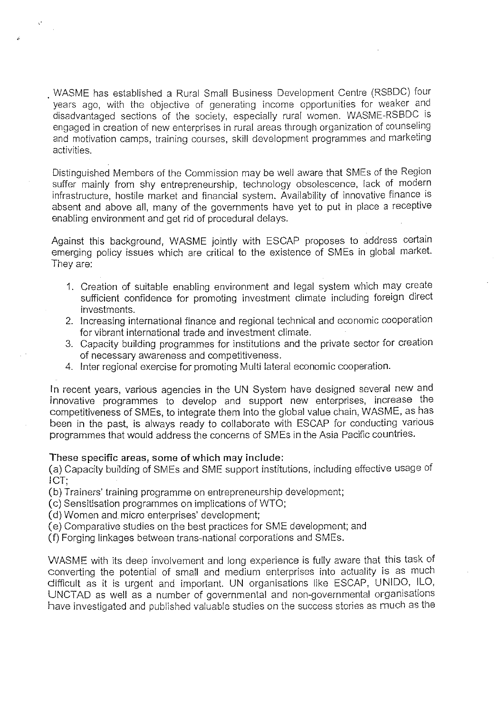· WASME has established a Rural Small Business Development Centre (RSBDC) four years ago, with the objective of generating income opportunities for weaker and disadvantaged sections of the society, especially rural women. WASME-RSBDC is engaged in creation of new enterprises in rural areas through organization of counseling and motivation camps, training courses, skill development programmes and marketing activities.

Distinguished Members of the Commission may be well aware that SMEs of the Region suffer mainly from shy entrepreneurship, technology obsolescence, lack of modern infrastructure, hostile market and financial system. Availability of innovative finance is absent and above all, many of the governments have yet to put in place a receptive enabling environment and get rid of procedural delays.

Against this background, WASME jointly with ESCAP proposes to address certain emerging policy issues which are critical to the existence of SMEs in global market. They are:

- 1. Creation of suitable enabling environment and legal system which may create sufficient confidence for promoting investment climate including foreign direct investments.
- 2. Increasing international finance and regional technical and economic cooperation for vibrant international trade and investment climate.
- 3. Capacity building programmes for institutions and the private sector for creation of necessary awareness and competitiveness.
- 4. Inter regional exercise for promoting Multi lateral economic cooperation.

In recent years, various agencies in the UN System have designed several new and innovative programmes to develop and support new enterprises, increase the competitiveness of SMEs, to integrate them into the global value chain, WASME, as has been in the past, is always ready to collaborate with ESCAP for conducting various programmes that would address the concerns of SMEs in the Asia Pacific countries.

#### These specific areas, some of which may include:

(a) Capacity building of SMEs and SME support institutions, including effective usage of ICT;

(b) Trainers' training programme on entrepreneurship development;

(c) Sensitisation programmes on implications of WTO;

(d) Women and. micro enterprises' development;

(e) Cornparative studies on the best practices for SME development; and

(f) Forging linkages between trans-national corporations and SMEs.

WASME with its deep involvement and long experience is fully aware that this task of converting the potential of small and medium enterprises into actuality is as much difficult as it is urgent and important. UN organisations like ESCAP, UNIDO, ILO, UNCT AD as well as a number of governmental and non-governmental organisations **have investigated and published valuable studies on the success stories as much as the**